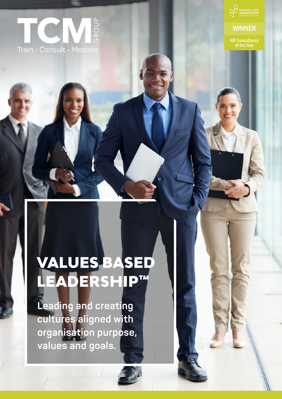



## **WINNER**

HR Consultancy of the Year

# VALUES BASED LEADERSHIP™

**Leading and creating cultures aligned with organisation purpose, values and goals.**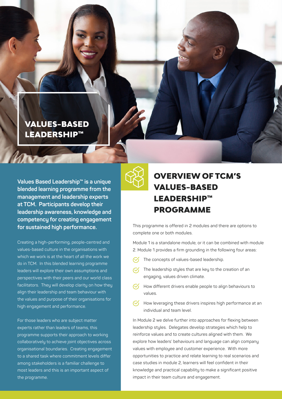## VALUES-BASED LEADERSHIP™

harro

**Values Based Leadership™ is a unique blended learning programme from the management and leadership experts at TCM. Participants develop their leadership awareness, knowledge and competency for creating engagement for sustained high performance.**

Creating a high-performing, people-centred and values-based culture in the organisations with which we work is at the heart of all the work we do in TCM. In this blended learning programme leaders will explore their own assumptions and perspectives with their peers and our world class facilitators. They will develop clarity on how they align their leadership and team behaviour with the values and purpose of their organisations for high engagement and performance.

For those leaders who are subject matter experts rather than leaders of teams, this programme supports their approach to working collaboratively to achieve joint objectives across organisational boundaries. Creating engagement to a shared task where commitment levels differ among stakeholders is a familiar challenge to most leaders and this is an important aspect of the programme.



## OVERVIEW OF TCM'S VALUES-BASED LEADERSHIP™ PROGRAMME

This programme is offered in 2 modules and there are options to complete one or both modules.

Module 1 is a standalone module, or it can be combined with module 2. Module 1 provides a firm grounding in the following four areas:

- $\mathcal{C}$ The concepts of values-based leadership.
- The leadership styles that are key to the creation of an engaging, values driven climate.
- $\heartsuit$  How different drivers enable people to align behaviours to values.
- How leveraging these drivers inspires high performance at an individual and team level.

In Module 2 we delve further into approaches for flexing between leadership styles. Delegates develop strategies which help to reinforce values and to create cultures aligned with them. We explore how leaders' behaviours and language can align company values with employee and customer experience. With more opportunities to practice and relate learning to real scenarios and case studies in module 2, learners will feel confident in their knowledge and practical capability to make a significant positive impact in their team culture and engagement.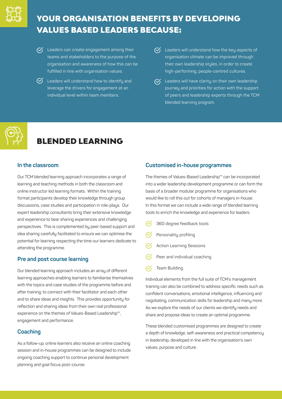

## YOUR ORGANISATION BENEFITS BY DEVELOPING VALUES BASED LEADERS BECAUSE:

- $\heartsuit$  Leaders can create engagement among their teams and stakeholders to the purpose of the organisation and awareness of how this can be fulfilled in line with organisation values.
- $\heartsuit$  Leaders will understand how to identify and leverage the drivers for engagement at an individual level within team members.
- $\mathcal{G}'$  Leaders will understand how the key aspects of organisation climate can be improved through their own leadership styles, in order to create high-performing, people-centred cultures.
- $\sigma$  Leaders will have clarity on their own leadership journey and priorities for action with the support of peers and leadership experts through the TCM blended learning program.



# BLENDED LEARNING

#### **In the classroom**

Our TCM blended learning approach incorporates a range of learning and teaching methods in both the classroom and online instructor led learning formats. Within the training format participants develop their knowledge through group discussions, case studies and participation in role-plays. Our expert leadership consultants bring their extensive knowledge and experience to bear sharing experiences and challenging perspectives. This is complemented by peer-based support and idea sharing carefully facilitated to ensure we can optimise the potential for learning respecting the time our learners dedicate to attending the programme.

#### **Pre and post course learning**

Our blended learning approach includes an array of different learning approaches enabling learners to familiarise themselves with the topics and case studies of the programme before and after training, to connect with their facilitator and each other and to share ideas and insights. This provides opportunity for reflection and sharing ideas from their own real professional experience on the themes of Values-Based Leadership™, engagement and performance.

### **Coaching**

As a follow-up, online learners also receive an online coaching session and in-house programmes can be designed to include ongoing coaching support to continue personal development planning and goal focus post-course.

#### **Customised in-house programmes**

The themes of Values-Based Leadership™ can be incorporated into a wider leadership development programme or can form the basis of a broader modular programme for organisations who would like to roll this out for cohorts of managers in-house. In this format we can include a wide range of blended learning tools to enrich the knowledge and experience for leaders:

- 360 degree feedback tools
- Personality profiling
- Action Learning Sessions
- Peer and individual coaching
- $\mathcal{C}'$ Team Building

Individual elements from the full suite of TCM's management training can also be combined to address specific needs such as confident conversations, emotional intelligence, influencing and negotiating, communication skills for leadership and many more. As we explore the needs of our clients we identify needs and share and propose ideas to create an optimal programme.

These blended customised programmes are designed to create a depth of knowledge, self-awareness and practical competency in leadership, developed in line with the organisation's own values, purpose and culture.